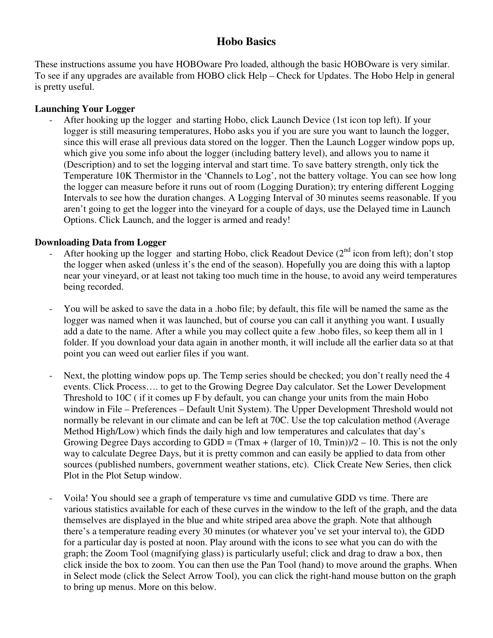# **Hobo Basics**

These instructions assume you have HOBOware Pro loaded, although the basic HOBOware is very similar. To see if any upgrades are available from HOBO click Help – Check for Updates. The Hobo Help in general is pretty useful.

### **Launching Your Logger**

- After hooking up the logger and starting Hobo, click Launch Device (1st icon top left). If your logger is still measuring temperatures, Hobo asks you if you are sure you want to launch the logger, since this will erase all previous data stored on the logger. Then the Launch Logger window pops up, which give you some info about the logger (including battery level), and allows you to name it (Description) and to set the logging interval and start time. To save battery strength, only tick the Temperature 10K Thermistor in the 'Channels to Log', not the battery voltage. You can see how long the logger can measure before it runs out of room (Logging Duration); try entering different Logging Intervals to see how the duration changes. A Logging Interval of 30 minutes seems reasonable. If you aren't going to get the logger into the vineyard for a couple of days, use the Delayed time in Launch Options. Click Launch, and the logger is armed and ready!

## **Downloading Data from Logger**

- After hooking up the logger and starting Hobo, click Readout Device  $(2<sup>nd</sup>$  icon from left); don't stop the logger when asked (unless it's the end of the season). Hopefully you are doing this with a laptop near your vineyard, or at least not taking too much time in the house, to avoid any weird temperatures being recorded.
- You will be asked to save the data in a .hobo file; by default, this file will be named the same as the logger was named when it was launched, but of course you can call it anything you want. I usually add a date to the name. After a while you may collect quite a few .hobo files, so keep them all in 1 folder. If you download your data again in another month, it will include all the earlier data so at that point you can weed out earlier files if you want.
- Next, the plotting window pops up. The Temp series should be checked; you don't really need the 4 events. Click Process…. to get to the Growing Degree Day calculator. Set the Lower Development Threshold to 10C ( if it comes up F by default, you can change your units from the main Hobo window in File – Preferences – Default Unit System). The Upper Development Threshold would not normally be relevant in our climate and can be left at 70C. Use the top calculation method (Average Method High/Low) which finds the daily high and low temperatures and calculates that day's Growing Degree Days according to GDD = (Tmax + (larger of 10, Tmin))/2 – 10. This is not the only way to calculate Degree Days, but it is pretty common and can easily be applied to data from other sources (published numbers, government weather stations, etc). Click Create New Series, then click Plot in the Plot Setup window.
- Voila! You should see a graph of temperature vs time and cumulative GDD vs time. There are various statistics available for each of these curves in the window to the left of the graph, and the data themselves are displayed in the blue and white striped area above the graph. Note that although there's a temperature reading every 30 minutes (or whatever you've set your interval to), the GDD for a particular day is posted at noon. Play around with the icons to see what you can do with the graph; the Zoom Tool (magnifying glass) is particularly useful; click and drag to draw a box, then click inside the box to zoom. You can then use the Pan Tool (hand) to move around the graphs. When in Select mode (click the Select Arrow Tool), you can click the right-hand mouse button on the graph to bring up menus. More on this below.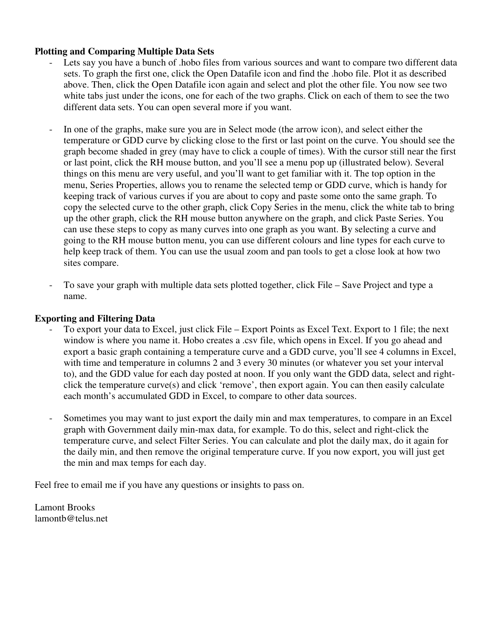#### **Plotting and Comparing Multiple Data Sets**

- Lets say you have a bunch of .hobo files from various sources and want to compare two different data sets. To graph the first one, click the Open Datafile icon and find the .hobo file. Plot it as described above. Then, click the Open Datafile icon again and select and plot the other file. You now see two white tabs just under the icons, one for each of the two graphs. Click on each of them to see the two different data sets. You can open several more if you want.
- In one of the graphs, make sure you are in Select mode (the arrow icon), and select either the temperature or GDD curve by clicking close to the first or last point on the curve. You should see the graph become shaded in grey (may have to click a couple of times). With the cursor still near the first or last point, click the RH mouse button, and you'll see a menu pop up (illustrated below). Several things on this menu are very useful, and you'll want to get familiar with it. The top option in the menu, Series Properties, allows you to rename the selected temp or GDD curve, which is handy for keeping track of various curves if you are about to copy and paste some onto the same graph. To copy the selected curve to the other graph, click Copy Series in the menu, click the white tab to bring up the other graph, click the RH mouse button anywhere on the graph, and click Paste Series. You can use these steps to copy as many curves into one graph as you want. By selecting a curve and going to the RH mouse button menu, you can use different colours and line types for each curve to help keep track of them. You can use the usual zoom and pan tools to get a close look at how two sites compare.
- To save your graph with multiple data sets plotted together, click File Save Project and type a name.

#### **Exporting and Filtering Data**

- To export your data to Excel, just click File Export Points as Excel Text. Export to 1 file; the next window is where you name it. Hobo creates a .csv file, which opens in Excel. If you go ahead and export a basic graph containing a temperature curve and a GDD curve, you'll see 4 columns in Excel, with time and temperature in columns 2 and 3 every 30 minutes (or whatever you set your interval to), and the GDD value for each day posted at noon. If you only want the GDD data, select and rightclick the temperature curve(s) and click 'remove', then export again. You can then easily calculate each month's accumulated GDD in Excel, to compare to other data sources.
- Sometimes you may want to just export the daily min and max temperatures, to compare in an Excel graph with Government daily min-max data, for example. To do this, select and right-click the temperature curve, and select Filter Series. You can calculate and plot the daily max, do it again for the daily min, and then remove the original temperature curve. If you now export, you will just get the min and max temps for each day.

Feel free to email me if you have any questions or insights to pass on.

Lamont Brooks lamontb@telus.net